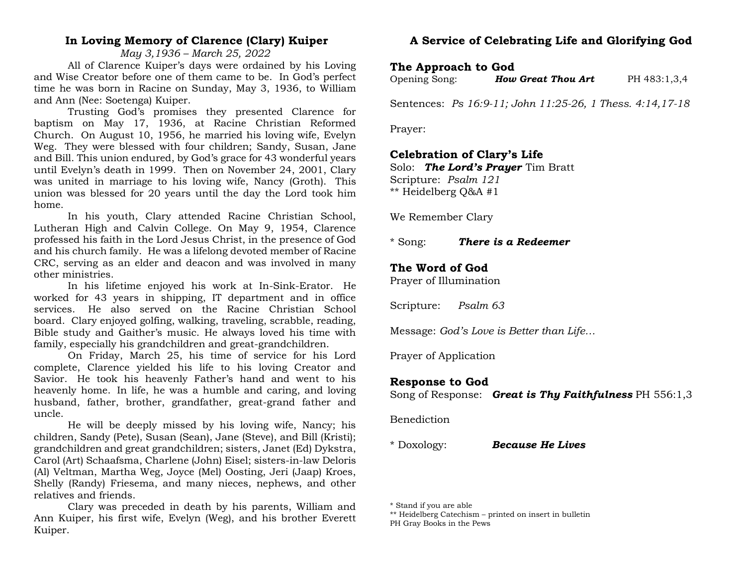## **In Loving Memory of Clarence (Clary) Kuiper**

*May 3,1936 – March 25, 2022*

All of Clarence Kuiper's days were ordained by his Loving and Wise Creator before one of them came to be. In God's perfect time he was born in Racine on Sunday, May 3, 1936, to William and Ann (Nee: Soetenga) Kuiper.

Trusting God's promises they presented Clarence for baptism on May 17, 1936, at Racine Christian Reformed Church. On August 10, 1956, he married his loving wife, Evelyn Weg. They were blessed with four children; Sandy, Susan, Jane and Bill. This union endured, by God's grace for 43 wonderful years until Evelyn's death in 1999. Then on November 24, 2001, Clary was united in marriage to his loving wife, Nancy (Groth). This union was blessed for 20 years until the day the Lord took him home.

In his youth, Clary attended Racine Christian School, Lutheran High and Calvin College. On May 9, 1954, Clarence professed his faith in the Lord Jesus Christ, in the presence of God and his church family. He was a lifelong devoted member of Racine CRC, serving as an elder and deacon and was involved in many other ministries.

In his lifetime enjoyed his work at In-Sink-Erator. He worked for 43 years in shipping, IT department and in office services. He also served on the Racine Christian School board. Clary enjoyed golfing, walking, traveling, scrabble, reading, Bible study and Gaither's music. He always loved his time with family, especially his grandchildren and great-grandchildren.

On Friday, March 25, his time of service for his Lord complete, Clarence yielded his life to his loving Creator and Savior. He took his heavenly Father's hand and went to his heavenly home. In life, he was a humble and caring, and loving husband, father, brother, grandfather, great-grand father and uncle.

He will be deeply missed by his loving wife, Nancy; his children, Sandy (Pete), Susan (Sean), Jane (Steve), and Bill (Kristi); grandchildren and great grandchildren; sisters, Janet (Ed) Dykstra, Carol (Art) Schaafsma, Charlene (John) Eisel; sisters-in-law Deloris (Al) Veltman, Martha Weg, Joyce (Mel) Oosting, Jeri (Jaap) Kroes, Shelly (Randy) Friesema, and many nieces, nephews, and other relatives and friends.

Clary was preceded in death by his parents, William and Ann Kuiper, his first wife, Evelyn (Weg), and his brother Everett Kuiper.

# **A Service of Celebrating Life and Glorifying God**

## **The Approach to God**

| Opening Song: | <b>How Great Thou Art</b> | PH 483:1,3,4 |
|---------------|---------------------------|--------------|
|---------------|---------------------------|--------------|

Sentences: *Ps 16:9-11; John 11:25-26, 1 Thess. 4:14,17-18*

Prayer:

## **Celebration of Clary's Life**

Solo: *The Lord's Prayer* Tim Bratt Scripture: *Psalm 121* \*\* Heidelberg Q&A #1

We Remember Clary

\* Song: *There is a Redeemer*

## **The Word of God**

Prayer of Illumination

Scripture: *Psalm 63*

Message: *God's Love is Better than Life…*

Prayer of Application

## **Response to God**

Song of Response: *Great is Thy Faithfulness* PH 556:1,3

Benediction

\* Doxology: *Because He Lives*

<sup>\*</sup> Stand if you are able

<sup>\*\*</sup> Heidelberg Catechism – printed on insert in bulletin

PH Gray Books in the Pews